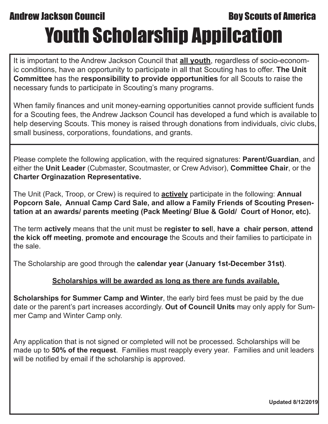## **Andrew Jackson Council Council Council Boy Scouts of America** Youth Scholarship Appilcation

It is important to the Andrew Jackson Council that **all youth**, regardless of socio-economic conditions, have an opportunity to participate in all that Scouting has to offer. **The Unit Committee** has the **responsibility to provide opportunities** for all Scouts to raise the necessary funds to participate in Scouting's many programs.

When family finances and unit money-earning opportunities cannot provide sufficient funds for a Scouting fees, the Andrew Jackson Council has developed a fund which is available to help deserving Scouts. This money is raised through donations from individuals, civic clubs, small business, corporations, foundations, and grants.

Please complete the following application, with the required signatures: **Parent/Guardian**, and either the **Unit Leader** (Cubmaster, Scoutmaster, or Crew Advisor), **Committee Chair**, or the **Charter Orginazation Representative.** 

The Unit (Pack, Troop, or Crew) is required to **actively** participate in the following: **Annual Popcorn Sale, Annual Camp Card Sale, and allow a Family Friends of Scouting Presentation at an awards/ parents meeting (Pack Meeting/ Blue & Gold/ Court of Honor, etc).** 

The term **actively** means that the unit must be **register to sel**l, **have a chair person**, **attend the kick off meeting**, **promote and encourage** the Scouts and their families to participate in the sale.

The Scholarship are good through the **calendar year (January 1st-December 31st)**.

## **Scholarships will be awarded as long as there are funds available,**

**Scholarships for Summer Camp and Winter**, the early bird fees must be paid by the due date or the parent's part increases accordingly. **Out of Council Units** may only apply for Summer Camp and Winter Camp only.

Any application that is not signed or completed will not be processed. Scholarships will be made up to **50% of the request**. Families must reapply every year. Families and unit leaders will be notified by email if the scholarship is approved.

**Updated 8/12/2019**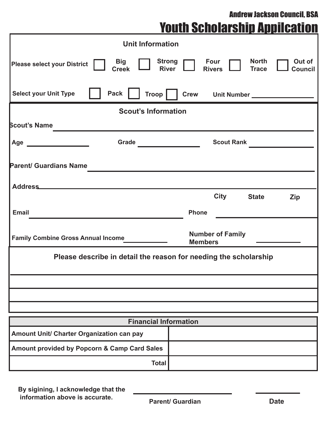Andrew Jackson Council, BSA

|  |  | <b>Youth Scholarship Appilcation</b> |  |  |
|--|--|--------------------------------------|--|--|
|--|--|--------------------------------------|--|--|

|                                                                                        |                            | <b>Unit Information</b>      |                                         |                       |                                 |                          |
|----------------------------------------------------------------------------------------|----------------------------|------------------------------|-----------------------------------------|-----------------------|---------------------------------|--------------------------|
| <b>Please select your District</b>                                                     | <b>Big</b><br><b>Creek</b> |                              | <b>Strong</b><br><b>River</b>           | Four<br><b>Rivers</b> | <b>North</b><br><b>Trace</b>    | Out of<br><b>Council</b> |
| <b>Select your Unit Type</b>                                                           | <b>Pack</b>                | <b>Troop</b>                 |                                         |                       | Crew Unit Number ______________ |                          |
|                                                                                        |                            | <b>Scout's Information</b>   |                                         |                       |                                 |                          |
| <b>Scout's Name</b>                                                                    |                            |                              |                                         |                       |                                 |                          |
| Age<br><u>and the contract of the contract of</u>                                      | Grade                      |                              | <u> 1990 - Johann Barbara, martin a</u> | <b>Scout Rank</b>     |                                 |                          |
| <b>Parent/ Guardians Name</b>                                                          |                            |                              |                                         |                       |                                 |                          |
| <b>Address</b>                                                                         |                            |                              |                                         |                       |                                 |                          |
|                                                                                        |                            |                              |                                         | <b>City</b>           | <b>State</b>                    | <b>Zip</b>               |
| <b>Email</b>                                                                           |                            |                              | <b>Phone</b>                            |                       |                                 |                          |
| <b>Number of Family</b><br><b>Family Combine Gross Annual Income</b><br><b>Members</b> |                            |                              |                                         |                       |                                 |                          |
| Please describe in detail the reason for needing the scholarship                       |                            |                              |                                         |                       |                                 |                          |
|                                                                                        |                            |                              |                                         |                       |                                 |                          |
|                                                                                        |                            |                              |                                         |                       |                                 |                          |
|                                                                                        |                            |                              |                                         |                       |                                 |                          |
|                                                                                        |                            | <b>Financial Information</b> |                                         |                       |                                 |                          |
| Amount Unit/ Charter Organization can pay                                              |                            |                              |                                         |                       |                                 |                          |
| Amount provided by Popcorn & Camp Card Sales                                           |                            |                              |                                         |                       |                                 |                          |
|                                                                                        |                            | <b>Total</b>                 |                                         |                       |                                 |                          |